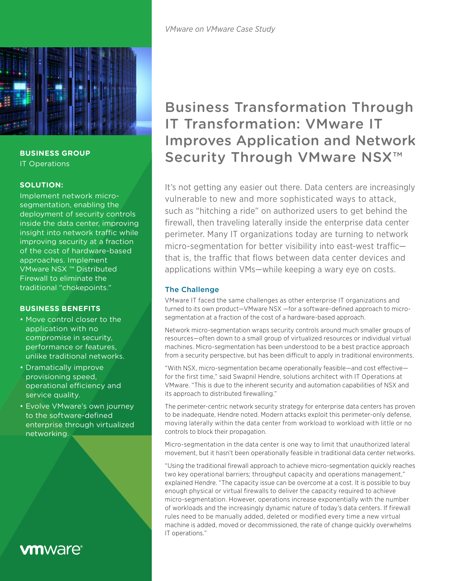

**BUSINESS GROUP** IT Operations

### **SOLUTION:**

Implement network microsegmentation, enabling the deployment of security controls inside the data center, improving insight into network traffic while improving security at a fraction of the cost of hardware-based approaches. Implement VMware NSX ™ Distributed Firewall to eliminate the traditional "chokepoints."

# **BUSINESS BENEFITS**

- Move control closer to the application with no compromise in security, performance or features, unlike traditional networks.
- Dramatically improve provisioning speed, operational efficiency and service quality.
- Evolve VMware's own journey to the software-defined enterprise through virtualized networking.

# **vm**ware<sup>®</sup>

# Business Transformation Through IT Transformation: VMware IT Improves Application and Network Security Through VMware NSX<sup>™</sup>

It's not getting any easier out there. Data centers are increasingly vulnerable to new and more sophisticated ways to attack, such as "hitching a ride" on authorized users to get behind the firewall, then traveling laterally inside the enterprise data center perimeter. Many IT organizations today are turning to network micro-segmentation for better visibility into east-west traffic that is, the traffic that flows between data center devices and applications within VMs—while keeping a wary eye on costs.

# The Challenge

VMware IT faced the same challenges as other enterprise IT organizations and turned to its own product—VMware NSX —for a software-defined approach to microsegmentation at a fraction of the cost of a hardware-based approach.

Network micro-segmentation wraps security controls around much smaller groups of resources—often down to a small group of virtualized resources or individual virtual machines. Micro-segmentation has been understood to be a best practice approach from a security perspective, but has been difficult to apply in traditional environments.

"With NSX, micro-segmentation became operationally feasible—and cost effective for the first time," said Swapnil Hendre, solutions architect with IT Operations at VMware. "This is due to the inherent security and automation capabilities of NSX and its approach to distributed firewalling."

The perimeter-centric network security strategy for enterprise data centers has proven to be inadequate, Hendre noted. Modern attacks exploit this perimeter-only defense, moving laterally within the data center from workload to workload with little or no controls to block their propagation.

Micro-segmentation in the data center is one way to limit that unauthorized lateral movement, but it hasn't been operationally feasible in traditional data center networks.

"Using the traditional firewall approach to achieve micro-segmentation quickly reaches two key operational barriers; throughput capacity and operations management," explained Hendre. "The capacity issue can be overcome at a cost. It is possible to buy enough physical or virtual firewalls to deliver the capacity required to achieve micro-segmentation. However, operations increase exponentially with the number of workloads and the increasingly dynamic nature of today's data centers. If firewall rules need to be manually added, deleted or modified every time a new virtual machine is added, moved or decommissioned, the rate of change quickly overwhelms IT operations."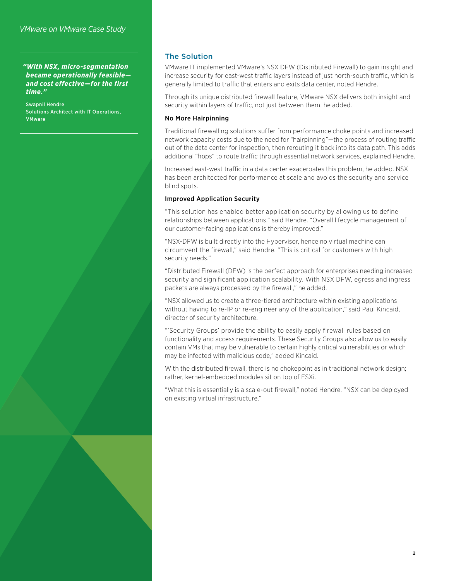#### *"With NSX, micro-segmentation became operationally feasible and cost effective—for the first time."*

Swapnil Hendre Solutions Architect with IT Operations, **VMware** 

# The Solution

VMware IT implemented VMware's NSX DFW (Distributed Firewall) to gain insight and increase security for east-west traffic layers instead of just north-south traffic, which is generally limited to traffic that enters and exits data center, noted Hendre.

Through its unique distributed firewall feature, VMware NSX delivers both insight and security within layers of traffic, not just between them, he added.

#### No More Hairpinning

Traditional firewalling solutions suffer from performance choke points and increased network capacity costs due to the need for "hairpinning"—the process of routing traffic out of the data center for inspection, then rerouting it back into its data path. This adds additional "hops" to route traffic through essential network services, explained Hendre.

Increased east-west traffic in a data center exacerbates this problem, he added. NSX has been architected for performance at scale and avoids the security and service blind spots.

#### Improved Application Security

"This solution has enabled better application security by allowing us to define relationships between applications," said Hendre. "Overall lifecycle management of our customer-facing applications is thereby improved."

"NSX-DFW is built directly into the Hypervisor, hence no virtual machine can circumvent the firewall," said Hendre. "This is critical for customers with high security needs."

"Distributed Firewall (DFW) is the perfect approach for enterprises needing increased security and significant application scalability. With NSX DFW, egress and ingress packets are always processed by the firewall," he added.

"NSX allowed us to create a three-tiered architecture within existing applications without having to re-IP or re-engineer any of the application," said Paul Kincaid, director of security architecture.

"'Security Groups' provide the ability to easily apply firewall rules based on functionality and access requirements. These Security Groups also allow us to easily contain VMs that may be vulnerable to certain highly critical vulnerabilities or which may be infected with malicious code," added Kincaid.

With the distributed firewall, there is no chokepoint as in traditional network design; rather, kernel-embedded modules sit on top of ESXi.

"What this is essentially is a scale-out firewall," noted Hendre. "NSX can be deployed on existing virtual infrastructure."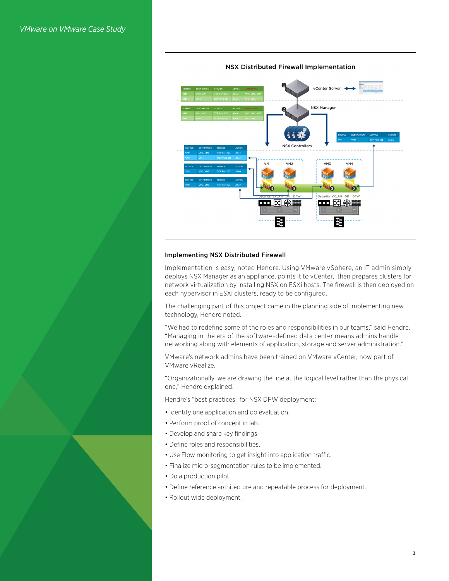

#### Implementing NSX Distributed Firewall

Implementation is easy, noted Hendre. Using VMware vSphere, an IT admin simply deploys NSX Manager as an appliance, points it to vCenter, then prepares clusters for network virtualization by installing NSX on ESXi hosts. The firewall is then deployed on each hypervisor in ESXi clusters, ready to be configured.

The challenging part of this project came in the planning side of implementing new technology, Hendre noted.

"We had to redefine some of the roles and responsibilities in our teams," said Hendre. "Managing in the era of the software-defined data center means admins handle networking along with elements of application, storage and server administration."

VMware's network admins have been trained on VMware vCenter, now part of VMware vRealize.

"Organizationally, we are drawing the line at the logical level rather than the physical one," Hendre explained.

Hendre's "best practices" for NSX DFW deployment:

- Identify one application and do evaluation.
- Perform proof of concept in lab.
- Develop and share key findings.
- Define roles and responsibilities.
- Use Flow monitoring to get insight into application traffic.
- Finalize micro-segmentation rules to be implemented.
- Do a production pilot.
- Define reference architecture and repeatable process for deployment.
- Rollout wide deployment.